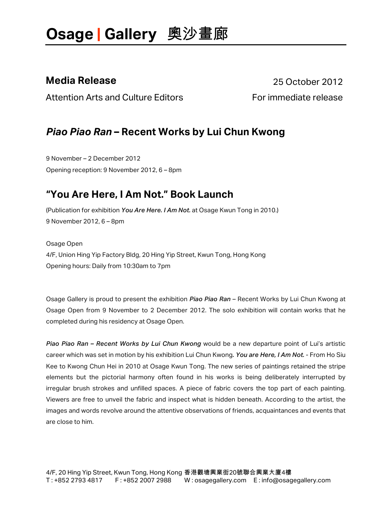**Media Release** 25 October 2012

Attention Arts and Culture Editors **Following Contract Contract Article** release

### *Piao Piao Ran* **– Recent Works by Lui Chun Kwong**

9 November – 2 December 2012 Opening reception: 9 November 2012, 6 – 8pm

### **"You Are Here, I Am Not." Book Launch**

(Publication for exhibition *You Are Here. I Am Not.* at Osage Kwun Tong in 2010.) 9 November 2012, 6 – 8pm

Osage Open 4/F, Union Hing Yip Factory Bldg, 20 Hing Yip Street, Kwun Tong, Hong Kong Opening hours: Daily from 10:30am to 7pm

Osage Gallery is proud to present the exhibition *Piao Piao Ran* – Recent Works by Lui Chun Kwong at Osage Open from 9 November to 2 December 2012. The solo exhibition will contain works that he completed during his residency at Osage Open.

*Piao Piao Ran – Recent Works by Lui Chun Kwong* would be a new departure point of Lui's artistic career which was set in motion by his exhibition Lui Chun Kwong*. You are Here, I Am Not.* - From Ho Siu Kee to Kwong Chun Hei in 2010 at Osage Kwun Tong. The new series of paintings retained the stripe elements but the pictorial harmony often found in his works is being deliberately interrupted by irregular brush strokes and unfilled spaces. A piece of fabric covers the top part of each painting. Viewers are free to unveil the fabric and inspect what is hidden beneath. According to the artist, the images and words revolve around the attentive observations of friends, acquaintances and events that are close to him.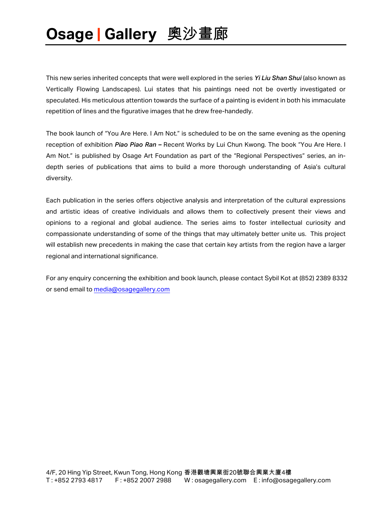This new series inherited concepts that were well explored in the series *Yi Liu Shan Shui* (also known as Vertically Flowing Landscapes). Lui states that his paintings need not be overtly investigated or speculated. His meticulous attention towards the surface of a painting is evident in both his immaculate repetition of lines and the figurative images that he drew free-handedly.

The book launch of "You Are Here. I Am Not." is scheduled to be on the same evening as the opening reception of exhibition *Piao Piao Ran –* Recent Works by Lui Chun Kwong. The book "You Are Here. I Am Not." is published by Osage Art Foundation as part of the "Regional Perspectives" series, an indepth series of publications that aims to build a more thorough understanding of Asia's cultural diversity.

Each publication in the series offers objective analysis and interpretation of the cultural expressions and artistic ideas of creative individuals and allows them to collectively present their views and opinions to a regional and global audience. The series aims to foster intellectual curiosity and compassionate understanding of some of the things that may ultimately better unite us. This project will establish new precedents in making the case that certain key artists from the region have a larger regional and international significance.

For any enquiry concerning the exhibition and book launch, please contact Sybil Kot at (852) 2389 8332 or send email to media@osagegallery.com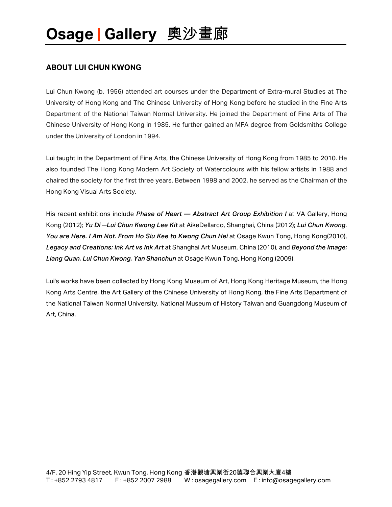#### **ABOUT LUI CHUN KWONG**

Lui Chun Kwong (b. 1956) attended art courses under the Department of Extra-mural Studies at The University of Hong Kong and The Chinese University of Hong Kong before he studied in the Fine Arts Department of the National Taiwan Normal University. He joined the Department of Fine Arts of The Chinese University of Hong Kong in 1985. He further gained an MFA degree from Goldsmiths College under the University of London in 1994.

Lui taught in the Department of Fine Arts, the Chinese University of Hong Kong from 1985 to 2010. He also founded The Hong Kong Modern Art Society of Watercolours with his fellow artists in 1988 and chaired the society for the first three years. Between 1998 and 2002, he served as the Chairman of the Hong Kong Visual Arts Society.

His recent exhibitions include *Phase of Heart — Abstract Art Group Exhibition I* at VA Gallery, Hong Kong (2012); *Yu Di ─Lui Chun Kwong Lee Kit* at AikeDellarco, Shanghai, China (2012); *Lui Chun Kwong. You are Here. I Am Not. From Ho Siu Kee to Kwong Chun Hei* at Osage Kwun Tong, Hong Kong(2010), *Legacy and Creations: Ink Art vs Ink Art* at Shanghai Art Museum, China (2010), and *Beyond the Image: Liang Quan, Lui Chun Kwong, Yan Shanchun* at Osage Kwun Tong, Hong Kong (2009).

Lui's works have been collected by Hong Kong Museum of Art, Hong Kong Heritage Museum, the Hong Kong Arts Centre, the Art Gallery of the Chinese University of Hong Kong, the Fine Arts Department of the National Taiwan Normal University, National Museum of History Taiwan and Guangdong Museum of Art, China.